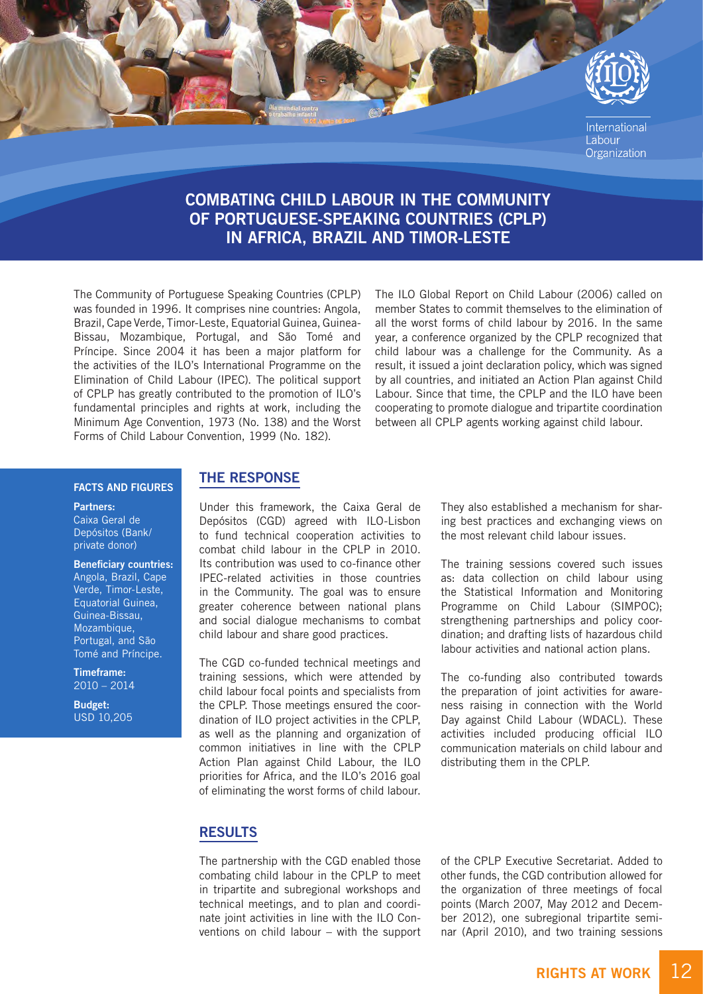

# COMBATING CHILD LABOUR IN THE COMMUNITY OF PORTUGUESE-SPEAKING COUNTRIES (CPLP) IN AFRICA, BRAZIL AND TIMOR-LESTE

The Community of Portuguese Speaking Countries (CPLP) was founded in 1996. It comprises nine countries: Angola, Brazil, Cape Verde, Timor-Leste, Equatorial Guinea, Guinea-Bissau, Mozambique, Portugal, and São Tomé and Príncipe. Since 2004 it has been a major platform for the activities of the ILO's International Programme on the Elimination of Child Labour (IPEC). The political support of CPLP has greatly contributed to the promotion of ILO's fundamental principles and rights at work, including the Minimum Age Convention, 1973 (No. 138) and the Worst Forms of Child Labour Convention, 1999 (No. 182).

The ILO Global Report on Child Labour (2006) called on member States to commit themselves to the elimination of all the worst forms of child labour by 2016. In the same year, a conference organized by the CPLP recognized that child labour was a challenge for the Community. As a result, it issued a joint declaration policy, which was signed by all countries, and initiated an Action Plan against Child Labour. Since that time, the CPLP and the ILO have been cooperating to promote dialogue and tripartite coordination between all CPLP agents working against child labour.

#### FACTS AND FIGURES

#### Partners:

Caixa Geral de Depósitos (Bank/ private donor)

Beneficiary countries: Angola, Brazil, Cape Verde, Timor-Leste, Equatorial Guinea, Guinea-Bissau, Mozambique, Portugal, and São Tomé and Príncipe.

Timeframe: 2010 – 2014

Budget: USD 10,205

## THE RESPONSE

Under this framework, the Caixa Geral de Depósitos (CGD) agreed with ILO-Lisbon to fund technical cooperation activities to combat child labour in the CPLP in 2010. Its contribution was used to co-finance other IPEC-related activities in those countries in the Community. The goal was to ensure greater coherence between national plans and social dialogue mechanisms to combat child labour and share good practices.

The CGD co-funded technical meetings and training sessions, which were attended by child labour focal points and specialists from the CPLP. Those meetings ensured the coordination of ILO project activities in the CPLP, as well as the planning and organization of common initiatives in line with the CPLP Action Plan against Child Labour, the ILO priorities for Africa, and the ILO's 2016 goal of eliminating the worst forms of child labour. They also established a mechanism for sharing best practices and exchanging views on the most relevant child labour issues.

The training sessions covered such issues as: data collection on child labour using the Statistical Information and Monitoring Programme on Child Labour (SIMPOC); strengthening partnerships and policy coordination; and drafting lists of hazardous child labour activities and national action plans.

The co-funding also contributed towards the preparation of joint activities for awareness raising in connection with the World Day against Child Labour (WDACL). These activities included producing official ILO communication materials on child labour and distributing them in the CPLP.

## RESULTS

The partnership with the CGD enabled those combating child labour in the CPLP to meet in tripartite and subregional workshops and technical meetings, and to plan and coordinate joint activities in line with the ILO Conventions on child labour – with the support of the CPLP Executive Secretariat. Added to other funds, the CGD contribution allowed for the organization of three meetings of focal points (March 2007, May 2012 and December 2012), one subregional tripartite seminar (April 2010), and two training sessions